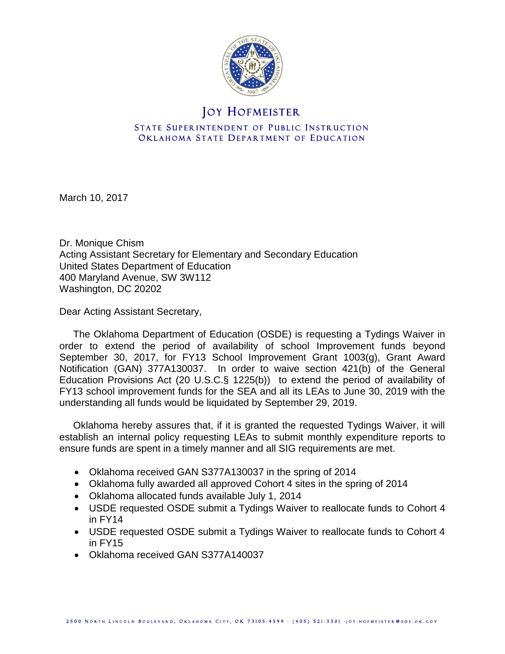

# **JOY HOFMEISTER**

### STATE SUPERINTENDENT OF PUBLIC INSTRUCTION OKLAHOMA STATE DEPARTMENT OF EDUCATION

March 10, 2017

Dr. Monique Chism Acting Assistant Secretary for Elementary and Secondary Education United States Department of Education 400 Maryland Avenue, SW 3W112 Washington, DC 20202

Dear Acting Assistant Secretary,

 The Oklahoma Department of Education (OSDE) is requesting a Tydings Waiver in order to extend the period of availability of school Improvement funds beyond September 30, 2017, for FY13 School Improvement Grant 1003(g), Grant Award Notification (GAN) 377A130037. In order to waive section 421(b) of the General Education Provisions Act (20 U.S.C.§ 1225(b)) to extend the period of availability of FY13 school improvement funds for the SEA and all its LEAs to June 30, 2019 with the understanding all funds would be liquidated by September 29, 2019.

 Oklahoma hereby assures that, if it is granted the requested Tydings Waiver, it will establish an internal policy requesting LEAs to submit monthly expenditure reports to ensure funds are spent in a timely manner and all SIG requirements are met.

- Oklahoma received GAN S377A130037 in the spring of 2014
- Oklahoma fully awarded all approved Cohort 4 sites in the spring of 2014
- Oklahoma allocated funds available July 1, 2014
- USDE requested OSDE submit a Tydings Waiver to reallocate funds to Cohort 4 in FY14
- USDE requested OSDE submit a Tydings Waiver to reallocate funds to Cohort 4 in FY15
- Oklahoma received GAN S377A140037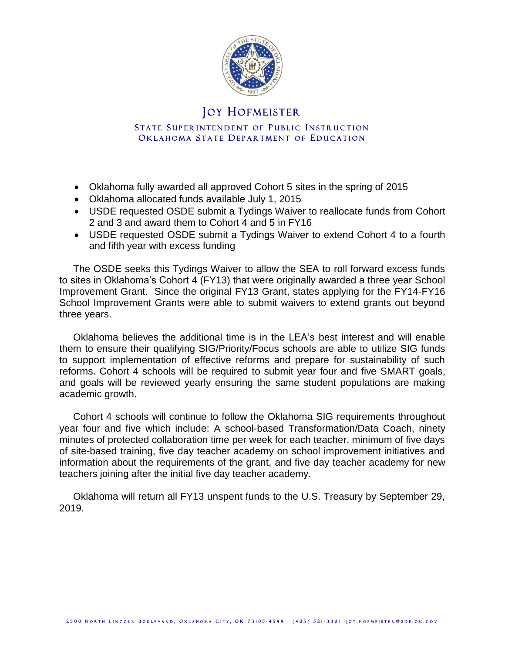

## **JOY HOFMEISTER**

#### STATE SUPERINTENDENT OF PUBLIC INSTRUCTION OKLAHOMA STATE DEPARTMENT OF EDUCATION

- Oklahoma fully awarded all approved Cohort 5 sites in the spring of 2015
- Oklahoma allocated funds available July 1, 2015
- USDE requested OSDE submit a Tydings Waiver to reallocate funds from Cohort 2 and 3 and award them to Cohort 4 and 5 in FY16
- USDE requested OSDE submit a Tydings Waiver to extend Cohort 4 to a fourth and fifth year with excess funding

 The OSDE seeks this Tydings Waiver to allow the SEA to roll forward excess funds to sites in Oklahoma's Cohort 4 (FY13) that were originally awarded a three year School Improvement Grant. Since the original FY13 Grant, states applying for the FY14-FY16 School Improvement Grants were able to submit waivers to extend grants out beyond three years.

 Oklahoma believes the additional time is in the LEA's best interest and will enable them to ensure their qualifying SIG/Priority/Focus schools are able to utilize SIG funds to support implementation of effective reforms and prepare for sustainability of such reforms. Cohort 4 schools will be required to submit year four and five SMART goals, and goals will be reviewed yearly ensuring the same student populations are making academic growth.

 Cohort 4 schools will continue to follow the Oklahoma SIG requirements throughout year four and five which include: A school-based Transformation/Data Coach, ninety minutes of protected collaboration time per week for each teacher, minimum of five days of site-based training, five day teacher academy on school improvement initiatives and information about the requirements of the grant, and five day teacher academy for new teachers joining after the initial five day teacher academy.

 Oklahoma will return all FY13 unspent funds to the U.S. Treasury by September 29, 2019.